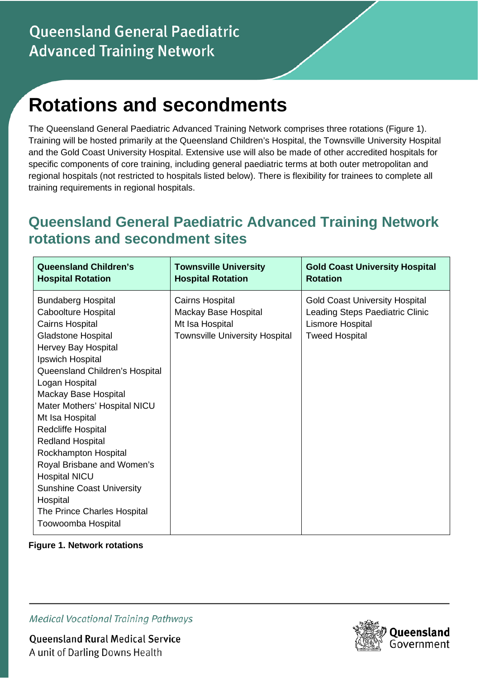# **Rotations and secondments**

The Queensland General Paediatric Advanced Training Network comprises three rotations (Figure 1). Training will be hosted primarily at the Queensland Children's Hospital, the Townsville University Hospital and the Gold Coast University Hospital. Extensive use will also be made of other accredited hospitals for specific components of core training, including general paediatric terms at both outer metropolitan and regional hospitals (not restricted to hospitals listed below). There is flexibility for trainees to complete all training requirements in regional hospitals.

## **Queensland General Paediatric Advanced Training Network rotations and secondment sites**

| <b>Queensland Children's</b>                                                                                                                                                                                                                                                                                                                                                                                                                                                                                          | <b>Townsville University</b>                                                                        | <b>Gold Coast University Hospital</b>                                                                                 |
|-----------------------------------------------------------------------------------------------------------------------------------------------------------------------------------------------------------------------------------------------------------------------------------------------------------------------------------------------------------------------------------------------------------------------------------------------------------------------------------------------------------------------|-----------------------------------------------------------------------------------------------------|-----------------------------------------------------------------------------------------------------------------------|
| <b>Hospital Rotation</b>                                                                                                                                                                                                                                                                                                                                                                                                                                                                                              | <b>Hospital Rotation</b>                                                                            | <b>Rotation</b>                                                                                                       |
| <b>Bundaberg Hospital</b><br>Caboolture Hospital<br>Cairns Hospital<br><b>Gladstone Hospital</b><br>Hervey Bay Hospital<br>Ipswich Hospital<br>Queensland Children's Hospital<br>Logan Hospital<br>Mackay Base Hospital<br>Mater Mothers' Hospital NICU<br>Mt Isa Hospital<br><b>Redcliffe Hospital</b><br><b>Redland Hospital</b><br>Rockhampton Hospital<br>Royal Brisbane and Women's<br><b>Hospital NICU</b><br><b>Sunshine Coast University</b><br>Hospital<br>The Prince Charles Hospital<br>Toowoomba Hospital | Cairns Hospital<br>Mackay Base Hospital<br>Mt Isa Hospital<br><b>Townsville University Hospital</b> | <b>Gold Coast University Hospital</b><br>Leading Steps Paediatric Clinic<br>Lismore Hospital<br><b>Tweed Hospital</b> |

**Figure 1. Network rotations** 

**Medical Vocational Training Pathways** 

**Queensland Rural Medical Service** A unit of Darling Downs Health

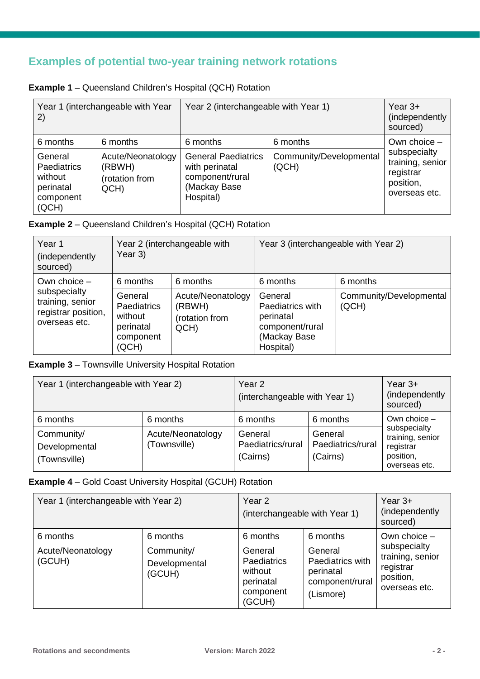## **Examples of potential two-year training network rotations**

| <b>Example 1</b> – Queensland Children's Hospital (QCH) Rotation |  |
|------------------------------------------------------------------|--|
|------------------------------------------------------------------|--|

| Year 1 (interchangeable with Year<br>2)                                     |                                                       | Year 2 (interchangeable with Year 1)                                                         |                                  | Year $3+$<br>(independently)<br>sourced)                                    |
|-----------------------------------------------------------------------------|-------------------------------------------------------|----------------------------------------------------------------------------------------------|----------------------------------|-----------------------------------------------------------------------------|
| 6 months                                                                    | 6 months                                              | 6 months                                                                                     | 6 months                         | Own choice -                                                                |
| General<br><b>Paediatrics</b><br>without<br>perinatal<br>component<br>(QCH) | Acute/Neonatology<br>(RBWH)<br>(rotation from<br>QCH) | <b>General Paediatrics</b><br>with perinatal<br>component/rural<br>(Mackay Base<br>Hospital) | Community/Developmental<br>(QCH) | subspecialty<br>training, senior<br>registrar<br>position,<br>overseas etc. |

#### **Example 2** – Queensland Children's Hospital (QCH) Rotation

| Year 1<br>(independently)<br>sourced)                                                      | Year 2 (interchangeable with<br>Year 3)                                                 |                                                                   | Year 3 (interchangeable with Year 2)                                                                 |                                              |
|--------------------------------------------------------------------------------------------|-----------------------------------------------------------------------------------------|-------------------------------------------------------------------|------------------------------------------------------------------------------------------------------|----------------------------------------------|
| Own choice $-$<br>subspecialty<br>training, senior<br>registrar position,<br>overseas etc. | 6 months<br>General<br><b>Paediatrics</b><br>without<br>perinatal<br>component<br>(QCH) | 6 months<br>Acute/Neonatology<br>(RBWH)<br>(rotation from<br>QCH) | 6 months<br>General<br>Paediatrics with<br>perinatal<br>component/rural<br>(Mackay Base<br>Hospital) | 6 months<br>Community/Developmental<br>(QCH) |

**Example 3** – Townsville University Hospital Rotation

| Year 1 (interchangeable with Year 2)        |                                   | Year <sub>2</sub><br>(interchangeable with Year 1) |                                          | Year $3+$<br>(independently)<br>sourced)                                    |  |
|---------------------------------------------|-----------------------------------|----------------------------------------------------|------------------------------------------|-----------------------------------------------------------------------------|--|
| 6 months                                    | 6 months                          | 6 months                                           | 6 months                                 | Own choice $-$                                                              |  |
| Community/<br>Developmental<br>(Townsville) | Acute/Neonatology<br>(Townsville) | General<br>Paediatrics/rural<br>(Cairns)           | General<br>Paediatrics/rural<br>(Cairns) | subspecialty<br>training, senior<br>registrar<br>position,<br>overseas etc. |  |

### **Example 4** – Gold Coast University Hospital (GCUH) Rotation

| Year 1 (interchangeable with Year 2) |                                       | Year <sub>2</sub><br>(interchangeable with Year 1)                           |                                                                          | Year $3+$<br>(independently)<br>sourced)                                    |
|--------------------------------------|---------------------------------------|------------------------------------------------------------------------------|--------------------------------------------------------------------------|-----------------------------------------------------------------------------|
| 6 months                             | 6 months                              | 6 months                                                                     | 6 months                                                                 | Own choice $-$                                                              |
| Acute/Neonatology<br>(GCUH)          | Community/<br>Developmental<br>(GCUH) | General<br><b>Paediatrics</b><br>without<br>perinatal<br>component<br>(GCUH) | General<br>Paediatrics with<br>perinatal<br>component/rural<br>(Lismore) | subspecialty<br>training, senior<br>registrar<br>position,<br>overseas etc. |